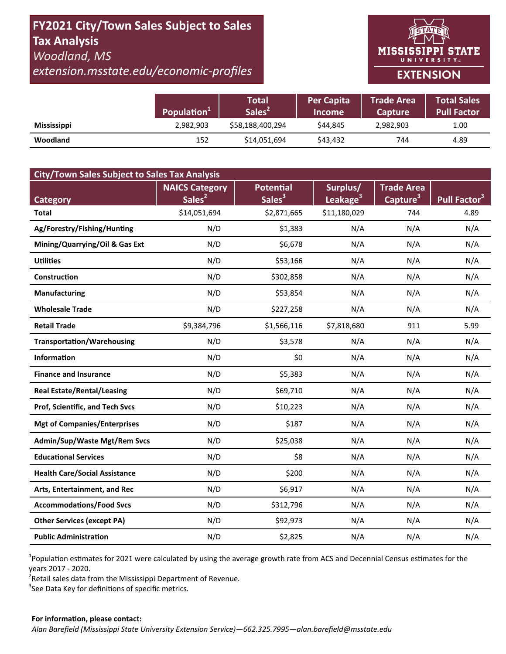# **FY2021 City/Town Sales Subject to Sales Tax Analysis**  *Woodland, MS*

*extension.msstate.edu/economic‐profiles* 



|                    | Population <sup>1</sup> | Total<br>Sales <sup>2</sup> | <b>Per Capita</b><br><b>Income</b> | <b>Trade Area</b><br><b>Capture</b> | <b>Total Sales</b><br><b>Pull Factor</b> |
|--------------------|-------------------------|-----------------------------|------------------------------------|-------------------------------------|------------------------------------------|
| <b>Mississippi</b> | 2,982,903               | \$58,188,400,294            | \$44.845                           | 2,982,903                           | 1.00                                     |
| <b>Woodland</b>    | 152                     | \$14,051,694                | \$43,432                           | 744                                 | 4.89                                     |

| <b>City/Town Sales Subject to Sales Tax Analysis</b> |                                             |                                        |                                  |                                           |                          |  |  |  |  |
|------------------------------------------------------|---------------------------------------------|----------------------------------------|----------------------------------|-------------------------------------------|--------------------------|--|--|--|--|
| <b>Category</b>                                      | <b>NAICS Category</b><br>Sales <sup>2</sup> | <b>Potential</b><br>Sales <sup>3</sup> | Surplus/<br>Leakage <sup>3</sup> | <b>Trade Area</b><br>Capture <sup>3</sup> | Pull Factor <sup>3</sup> |  |  |  |  |
| <b>Total</b>                                         | \$14,051,694                                | \$2,871,665                            | \$11,180,029                     | 744                                       | 4.89                     |  |  |  |  |
| Ag/Forestry/Fishing/Hunting                          | N/D                                         | \$1,383                                | N/A                              | N/A                                       | N/A                      |  |  |  |  |
| Mining/Quarrying/Oil & Gas Ext                       | N/D                                         | \$6,678                                | N/A                              | N/A                                       | N/A                      |  |  |  |  |
| <b>Utilities</b>                                     | N/D                                         | \$53,166                               | N/A                              | N/A                                       | N/A                      |  |  |  |  |
| Construction                                         | N/D                                         | \$302,858                              | N/A                              | N/A                                       | N/A                      |  |  |  |  |
| <b>Manufacturing</b>                                 | N/D                                         | \$53,854                               | N/A                              | N/A                                       | N/A                      |  |  |  |  |
| <b>Wholesale Trade</b>                               | N/D                                         | \$227,258                              | N/A                              | N/A                                       | N/A                      |  |  |  |  |
| <b>Retail Trade</b>                                  | \$9,384,796                                 | \$1,566,116                            | \$7,818,680                      | 911                                       | 5.99                     |  |  |  |  |
| <b>Transportation/Warehousing</b>                    | N/D                                         | \$3,578                                | N/A                              | N/A                                       | N/A                      |  |  |  |  |
| <b>Information</b>                                   | N/D                                         | \$0                                    | N/A                              | N/A                                       | N/A                      |  |  |  |  |
| <b>Finance and Insurance</b>                         | N/D                                         | \$5,383                                | N/A                              | N/A                                       | N/A                      |  |  |  |  |
| <b>Real Estate/Rental/Leasing</b>                    | N/D                                         | \$69,710                               | N/A                              | N/A                                       | N/A                      |  |  |  |  |
| Prof, Scientific, and Tech Svcs                      | N/D                                         | \$10,223                               | N/A                              | N/A                                       | N/A                      |  |  |  |  |
| <b>Mgt of Companies/Enterprises</b>                  | N/D                                         | \$187                                  | N/A                              | N/A                                       | N/A                      |  |  |  |  |
| <b>Admin/Sup/Waste Mgt/Rem Svcs</b>                  | N/D                                         | \$25,038                               | N/A                              | N/A                                       | N/A                      |  |  |  |  |
| <b>Educational Services</b>                          | N/D                                         | \$8                                    | N/A                              | N/A                                       | N/A                      |  |  |  |  |
| <b>Health Care/Social Assistance</b>                 | N/D                                         | \$200                                  | N/A                              | N/A                                       | N/A                      |  |  |  |  |
| Arts, Entertainment, and Rec                         | N/D                                         | \$6,917                                | N/A                              | N/A                                       | N/A                      |  |  |  |  |
| <b>Accommodations/Food Svcs</b>                      | N/D                                         | \$312,796                              | N/A                              | N/A                                       | N/A                      |  |  |  |  |
| <b>Other Services (except PA)</b>                    | N/D                                         | \$92,973                               | N/A                              | N/A                                       | N/A                      |  |  |  |  |
| <b>Public Administration</b>                         | N/D                                         | \$2,825                                | N/A                              | N/A                                       | N/A                      |  |  |  |  |

<sup>1</sup>Population estimates for 2021 were calculated by using the average growth rate from ACS and Decennial Census estimates for the years 2017 ‐ 2020.

2 Retail sales data from the Mississippi Department of Revenue*.* 

 $3$ See Data Key for definitions of specific metrics.

#### **For informaƟon, please contact:**  *Alan Barefield (Mississippi State University Extension Service)—662.325.7995—alan.barefield@msstate.edu*